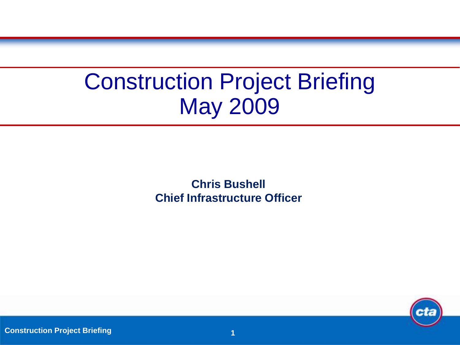# Construction Project Briefing May 2009

**Chris Bushell Chief Infrastructure Officer**



**Construction Project Briefing <b>1 1 1 1 1 1**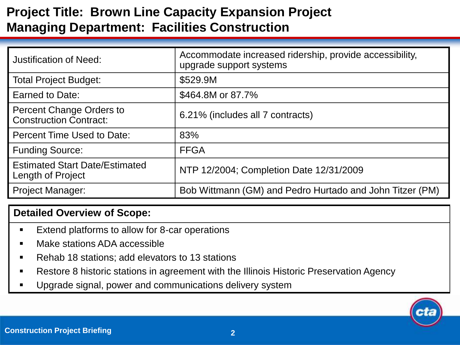# **Project Title: Brown Line Capacity Expansion Project Managing Department: Facilities Construction**

| <b>Justification of Need:</b>                                    | Accommodate increased ridership, provide accessibility,<br>upgrade support systems |
|------------------------------------------------------------------|------------------------------------------------------------------------------------|
| <b>Total Project Budget:</b>                                     | \$529.9M                                                                           |
| Earned to Date:                                                  | \$464.8M or 87.7%                                                                  |
| <b>Percent Change Orders to</b><br><b>Construction Contract:</b> | 6.21% (includes all 7 contracts)                                                   |
| <b>Percent Time Used to Date:</b>                                | 83%                                                                                |
| <b>Funding Source:</b>                                           | <b>FFGA</b>                                                                        |
| <b>Estimated Start Date/Estimated</b><br>Length of Project       | NTP 12/2004; Completion Date 12/31/2009                                            |
| <b>Project Manager:</b>                                          | Bob Wittmann (GM) and Pedro Hurtado and John Titzer (PM)                           |

- Extend platforms to allow for 8-car operations
- Make stations ADA accessible
- Rehab 18 stations; add elevators to 13 stations
- Restore 8 historic stations in agreement with the Illinois Historic Preservation Agency
- Upgrade signal, power and communications delivery system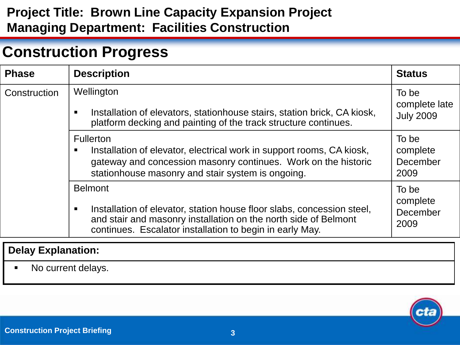# **Project Title: Brown Line Capacity Expansion Project Managing Department: Facilities Construction**

# **Construction Progress**

| <b>Phase</b>              | <b>Description</b>                                                                                                                                                                                                      | <b>Status</b>                              |
|---------------------------|-------------------------------------------------------------------------------------------------------------------------------------------------------------------------------------------------------------------------|--------------------------------------------|
| Construction              | Wellington<br>Installation of elevators, stationhouse stairs, station brick, CA kiosk,<br>platform decking and painting of the track structure continues.                                                               | To be<br>complete late<br><b>July 2009</b> |
|                           | <b>Fullerton</b><br>Installation of elevator, electrical work in support rooms, CA kiosk,<br>п<br>gateway and concession masonry continues. Work on the historic<br>stationhouse masonry and stair system is ongoing.   | To be<br>complete<br>December<br>2009      |
|                           | <b>Belmont</b><br>Installation of elevator, station house floor slabs, concession steel,<br>and stair and masonry installation on the north side of Belmont<br>continues. Escalator installation to begin in early May. | To be<br>complete<br>December<br>2009      |
| <b>Delay Explanation:</b> |                                                                                                                                                                                                                         |                                            |

• No current delays.

ej r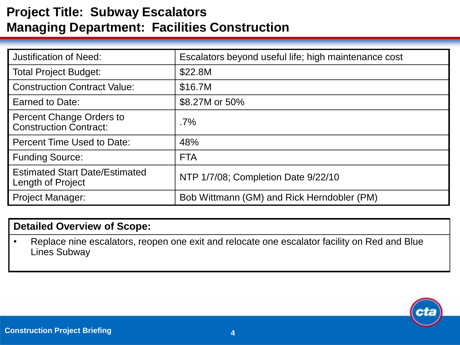# **Project Title: Subway Escalators Managing Department: Facilities Construction**

| <b>Justification of Need:</b>                                    | Escalators beyond useful life; high maintenance cost |
|------------------------------------------------------------------|------------------------------------------------------|
| <b>Total Project Budget:</b>                                     | \$22.8M                                              |
| <b>Construction Contract Value:</b>                              | \$16.7M                                              |
| Earned to Date:                                                  | \$8.27M or 50%                                       |
| <b>Percent Change Orders to</b><br><b>Construction Contract:</b> | $.7\%$                                               |
| Percent Time Used to Date:                                       | 48%                                                  |
| <b>Funding Source:</b>                                           | <b>FTA</b>                                           |
| <b>Estimated Start Date/Estimated</b><br>Length of Project       | NTP 1/7/08; Completion Date 9/22/10                  |
| <b>Project Manager:</b>                                          | Bob Wittmann (GM) and Rick Herndobler (PM)           |

#### **Detailed Overview of Scope:**

• Replace nine escalators, reopen one exit and relocate one escalator facility on Red and Blue Lines Subway

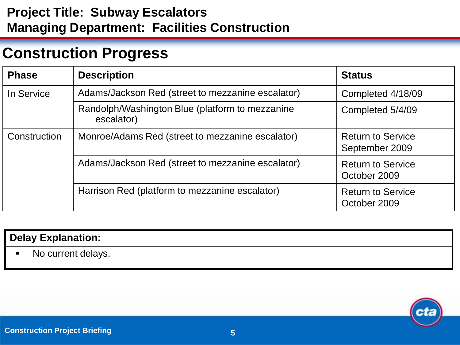# **Project Title: Subway Escalators Managing Department: Facilities Construction**

# **Construction Progress**

| <b>Phase</b> | <b>Description</b>                                            | <b>Status</b>                              |
|--------------|---------------------------------------------------------------|--------------------------------------------|
| In Service   | Adams/Jackson Red (street to mezzanine escalator)             | Completed 4/18/09                          |
|              | Randolph/Washington Blue (platform to mezzanine<br>escalator) | Completed 5/4/09                           |
| Construction | Monroe/Adams Red (street to mezzanine escalator)              | <b>Return to Service</b><br>September 2009 |
|              | Adams/Jackson Red (street to mezzanine escalator)             | <b>Return to Service</b><br>October 2009   |
|              | Harrison Red (platform to mezzanine escalator)                | <b>Return to Service</b><br>October 2009   |

|                          | <b>Delay Explanation:</b> |
|--------------------------|---------------------------|
| <b>Contract Contract</b> | No current delays.        |

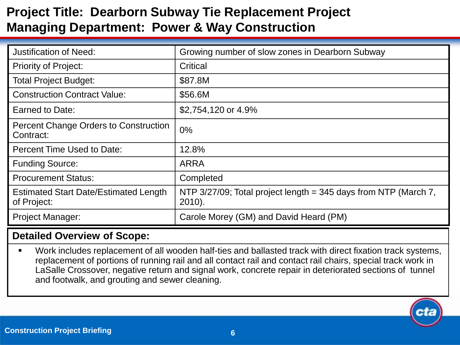# **Project Title: Dearborn Subway Tie Replacement Project Managing Department: Power & Way Construction**

| <b>Justification of Need:</b>                               | Growing number of slow zones in Dearborn Subway                                 |
|-------------------------------------------------------------|---------------------------------------------------------------------------------|
| <b>Priority of Project:</b>                                 | Critical                                                                        |
| <b>Total Project Budget:</b>                                | \$87.8M                                                                         |
| <b>Construction Contract Value:</b>                         | \$56.6M                                                                         |
| Earned to Date:                                             | \$2,754,120 or 4.9%                                                             |
| <b>Percent Change Orders to Construction</b><br>Contract:   | $0\%$                                                                           |
| Percent Time Used to Date:                                  | 12.8%                                                                           |
| <b>Funding Source:</b>                                      | <b>ARRA</b>                                                                     |
| <b>Procurement Status:</b>                                  | Completed                                                                       |
| <b>Estimated Start Date/Estimated Length</b><br>of Project: | NTP $3/27/09$ ; Total project length = 345 days from NTP (March 7,<br>$2010$ ). |
| <b>Project Manager:</b>                                     | Carole Morey (GM) and David Heard (PM)                                          |

### **Detailed Overview of Scope:**

 Work includes replacement of all wooden half-ties and ballasted track with direct fixation track systems, replacement of portions of running rail and all contact rail and contact rail chairs, special track work in LaSalle Crossover, negative return and signal work, concrete repair in deteriorated sections of tunnel and footwalk, and grouting and sewer cleaning.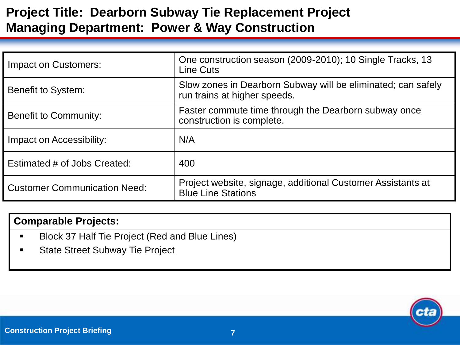# **Project Title: Dearborn Subway Tie Replacement Project Managing Department: Power & Way Construction**

| Impact on Customers:                | One construction season (2009-2010); 10 Single Tracks, 13<br>Line Cuts                       |
|-------------------------------------|----------------------------------------------------------------------------------------------|
| Benefit to System:                  | Slow zones in Dearborn Subway will be eliminated; can safely<br>run trains at higher speeds. |
| <b>Benefit to Community:</b>        | Faster commute time through the Dearborn subway once<br>construction is complete.            |
| Impact on Accessibility:            | N/A                                                                                          |
| Estimated # of Jobs Created:        | 400                                                                                          |
| <b>Customer Communication Need:</b> | Project website, signage, additional Customer Assistants at<br><b>Blue Line Stations</b>     |

#### **Comparable Projects:**

- Block 37 Half Tie Project (Red and Blue Lines)
- State Street Subway Tie Project

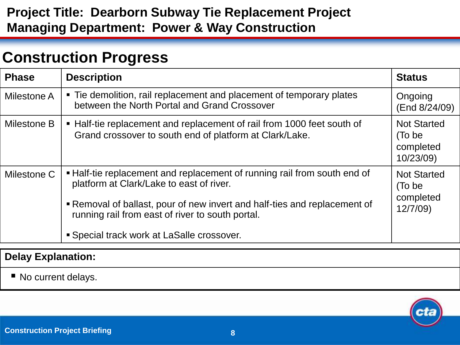# **Project Title: Dearborn Subway Tie Replacement Project Managing Department: Power & Way Construction**

# **Construction Progress**

| <b>Phase</b> | <b>Description</b>                                                                                                                                                                                                                                  | <b>Status</b>                                          |
|--------------|-----------------------------------------------------------------------------------------------------------------------------------------------------------------------------------------------------------------------------------------------------|--------------------------------------------------------|
| Milestone A  | • Tie demolition, rail replacement and placement of temporary plates<br>between the North Portal and Grand Crossover                                                                                                                                | Ongoing<br>(End 8/24/09)                               |
| Milestone B  | • Half-tie replacement and replacement of rail from 1000 feet south of<br>Grand crossover to south end of platform at Clark/Lake.                                                                                                                   | <b>Not Started</b><br>(To be<br>completed<br>10/23/09) |
| Milestone C  | • Half-tie replacement and replacement of running rail from south end of<br>platform at Clark/Lake to east of river.<br>Removal of ballast, pour of new invert and half-ties and replacement of<br>running rail from east of river to south portal. | <b>Not Started</b><br>(To be<br>completed<br>12/7/09   |
|              | <b>Special track work at LaSalle crossover.</b>                                                                                                                                                                                                     |                                                        |

### **Delay Explanation:**

■ No current delays.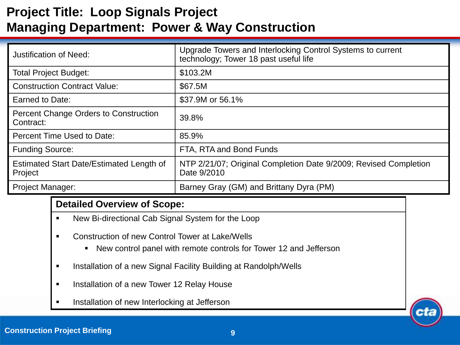# **Project Title: Loop Signals Project Managing Department: Power & Way Construction**

| <b>Justification of Need:</b>                              | Upgrade Towers and Interlocking Control Systems to current<br>technology; Tower 18 past useful life |
|------------------------------------------------------------|-----------------------------------------------------------------------------------------------------|
| <b>Total Project Budget:</b>                               | \$103.2M                                                                                            |
| <b>Construction Contract Value:</b>                        | \$67.5M                                                                                             |
| Earned to Date:                                            | \$37.9M or 56.1%                                                                                    |
| Percent Change Orders to Construction<br>Contract:         | 39.8%                                                                                               |
| Percent Time Used to Date:                                 | 85.9%                                                                                               |
| <b>Funding Source:</b>                                     | FTA, RTA and Bond Funds                                                                             |
| <b>Estimated Start Date/Estimated Length of</b><br>Project | NTP 2/21/07; Original Completion Date 9/2009; Revised Completion<br>Date 9/2010                     |
| <b>Project Manager:</b>                                    | Barney Gray (GM) and Brittany Dyra (PM)                                                             |

- New Bi-directional Cab Signal System for the Loop
- **EXECONSTRUCTION OF THE CONTROL TOWER AT LAKE/Wells** 
	- New control panel with remote controls for Tower 12 and Jefferson
- **Installation of a new Signal Facility Building at Randolph/Wells**
- **Installation of a new Tower 12 Relay House**
- Installation of new Interlocking at Jefferson

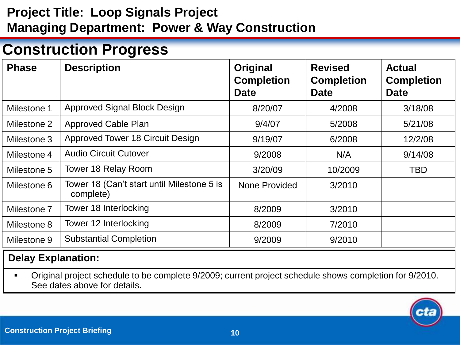# **Project Title: Loop Signals Project Managing Department: Power & Way Construction**

# **Construction Progress**

| <b>Phase</b> | <b>Description</b>                                      | Original<br><b>Completion</b><br><b>Date</b> | <b>Revised</b><br><b>Completion</b><br><b>Date</b> | <b>Actual</b><br><b>Completion</b><br><b>Date</b> |
|--------------|---------------------------------------------------------|----------------------------------------------|----------------------------------------------------|---------------------------------------------------|
| Milestone 1  | <b>Approved Signal Block Design</b>                     | 8/20/07                                      | 4/2008                                             | 3/18/08                                           |
| Milestone 2  | <b>Approved Cable Plan</b>                              | 9/4/07                                       | 5/2008                                             | 5/21/08                                           |
| Milestone 3  | <b>Approved Tower 18 Circuit Design</b>                 | 9/19/07                                      | 6/2008                                             | 12/2/08                                           |
| Milestone 4  | <b>Audio Circuit Cutover</b>                            | 9/2008                                       | N/A                                                | 9/14/08                                           |
| Milestone 5  | Tower 18 Relay Room                                     | 3/20/09                                      | 10/2009                                            | <b>TBD</b>                                        |
| Milestone 6  | Tower 18 (Can't start until Milestone 5 is<br>complete) | None Provided                                | 3/2010                                             |                                                   |
| Milestone 7  | Tower 18 Interlocking                                   | 8/2009                                       | 3/2010                                             |                                                   |
| Milestone 8  | Tower 12 Interlocking                                   | 8/2009                                       | 7/2010                                             |                                                   |
| Milestone 9  | <b>Substantial Completion</b>                           | 9/2009                                       | 9/2010                                             |                                                   |

### **Delay Explanation:**

 Original project schedule to be complete 9/2009; current project schedule shows completion for 9/2010. See dates above for details.

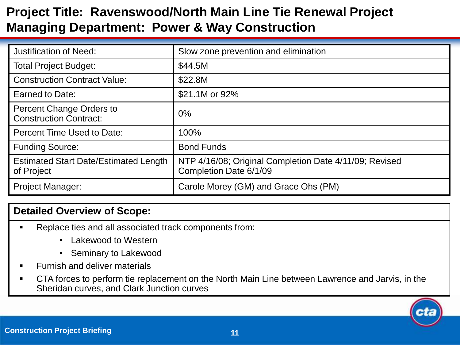# **Project Title: Ravenswood/North Main Line Tie Renewal Project Managing Department: Power & Way Construction**

| <b>Justification of Need:</b>                              | Slow zone prevention and elimination                                             |
|------------------------------------------------------------|----------------------------------------------------------------------------------|
| <b>Total Project Budget:</b>                               | \$44.5M                                                                          |
| <b>Construction Contract Value:</b>                        | \$22.8M                                                                          |
| Earned to Date:                                            | \$21.1M or 92%                                                                   |
| Percent Change Orders to<br><b>Construction Contract:</b>  | $0\%$                                                                            |
| Percent Time Used to Date:                                 | 100%                                                                             |
| <b>Funding Source:</b>                                     | <b>Bond Funds</b>                                                                |
| <b>Estimated Start Date/Estimated Length</b><br>of Project | NTP 4/16/08; Original Completion Date 4/11/09; Revised<br>Completion Date 6/1/09 |
| <b>Project Manager:</b>                                    | Carole Morey (GM) and Grace Ohs (PM)                                             |

- Replace ties and all associated track components from:
	- Lakewood to Western
	- Seminary to Lakewood
- Furnish and deliver materials
- CTA forces to perform tie replacement on the North Main Line between Lawrence and Jarvis, in the Sheridan curves, and Clark Junction curves

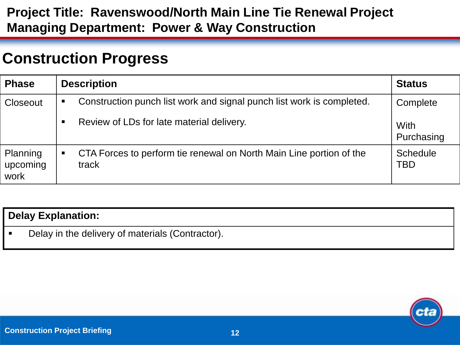### **Project Title: Ravenswood/North Main Line Tie Renewal Project Managing Department: Power & Way Construction**

# **Construction Progress**

| <b>Phase</b>                 | <b>Description</b> |                                                                              | <b>Status</b>             |
|------------------------------|--------------------|------------------------------------------------------------------------------|---------------------------|
| Closeout                     | $\blacksquare$     | Construction punch list work and signal punch list work is completed.        | Complete                  |
|                              | $\blacksquare$     | Review of LDs for late material delivery.                                    | <b>With</b><br>Purchasing |
| Planning<br>upcoming<br>work | $\blacksquare$     | CTA Forces to perform tie renewal on North Main Line portion of the<br>track | <b>Schedule</b><br>TBD    |

| <b>Delay Explanation:</b>                        |  |  |  |
|--------------------------------------------------|--|--|--|
| Delay in the delivery of materials (Contractor). |  |  |  |

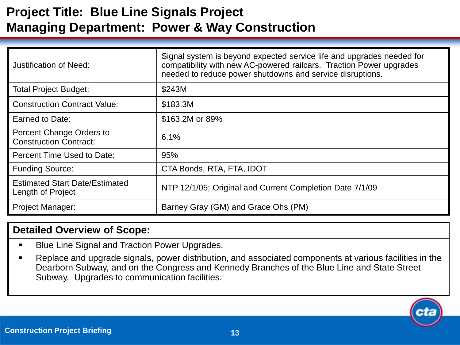# **Project Title: Blue Line Signals Project Managing Department: Power & Way Construction**

| Justification of Need:                                     | Signal system is beyond expected service life and upgrades needed for<br>compatibility with new AC-powered railcars. Traction Power upgrades<br>needed to reduce power shutdowns and service disruptions. |  |
|------------------------------------------------------------|-----------------------------------------------------------------------------------------------------------------------------------------------------------------------------------------------------------|--|
| <b>Total Project Budget:</b>                               | \$243M                                                                                                                                                                                                    |  |
| <b>Construction Contract Value:</b>                        | \$183.3M                                                                                                                                                                                                  |  |
| Earned to Date:                                            | \$163.2M or 89%                                                                                                                                                                                           |  |
| Percent Change Orders to<br><b>Construction Contract:</b>  | 6.1%                                                                                                                                                                                                      |  |
| Percent Time Used to Date:                                 | 95%                                                                                                                                                                                                       |  |
| <b>Funding Source:</b>                                     | CTA Bonds, RTA, FTA, IDOT                                                                                                                                                                                 |  |
| <b>Estimated Start Date/Estimated</b><br>Length of Project | NTP 12/1/05; Original and Current Completion Date 7/1/09                                                                                                                                                  |  |
| <b>Project Manager:</b>                                    | Barney Gray (GM) and Grace Ohs (PM)                                                                                                                                                                       |  |

- **Blue Line Signal and Traction Power Upgrades.**
- Replace and upgrade signals, power distribution, and associated components at various facilities in the Dearborn Subway, and on the Congress and Kennedy Branches of the Blue Line and State Street Subway. Upgrades to communication facilities.

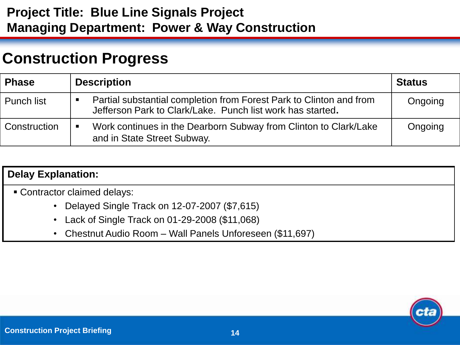### **Project Title: Blue Line Signals Project Managing Department: Power & Way Construction**

# **Construction Progress**

| <b>Phase</b>      | <b>Description</b> | <b>Status</b>                                                                                                                     |         |
|-------------------|--------------------|-----------------------------------------------------------------------------------------------------------------------------------|---------|
| <b>Punch list</b> |                    | Partial substantial completion from Forest Park to Clinton and from<br>Jefferson Park to Clark/Lake. Punch list work has started. | Ongoing |
| Construction      | $\blacksquare$     | Work continues in the Dearborn Subway from Clinton to Clark/Lake<br>and in State Street Subway.                                   | Ongoing |

### **Delay Explanation:**

- Contractor claimed delays:
	- Delayed Single Track on 12-07-2007 (\$7,615)
	- Lack of Single Track on 01-29-2008 (\$11,068)
	- Chestnut Audio Room Wall Panels Unforeseen (\$11,697)

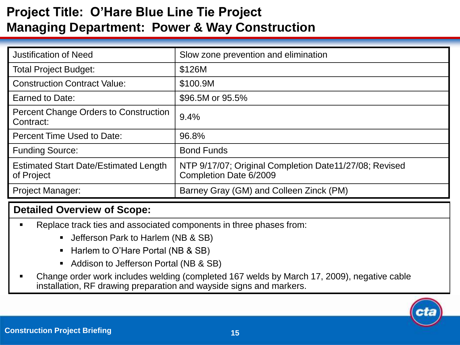# **Project Title: O'Hare Blue Line Tie Project Managing Department: Power & Way Construction**

| <b>Justification of Need</b>                               | Slow zone prevention and elimination                                             |
|------------------------------------------------------------|----------------------------------------------------------------------------------|
| <b>Total Project Budget:</b>                               | \$126M                                                                           |
| <b>Construction Contract Value:</b>                        | \$100.9M                                                                         |
| Earned to Date:                                            | \$96.5M or 95.5%                                                                 |
| <b>Percent Change Orders to Construction</b><br>Contract:  | 9.4%                                                                             |
| <b>Percent Time Used to Date:</b>                          | 96.8%                                                                            |
| <b>Funding Source:</b>                                     | <b>Bond Funds</b>                                                                |
| <b>Estimated Start Date/Estimated Length</b><br>of Project | NTP 9/17/07; Original Completion Date11/27/08; Revised<br>Completion Date 6/2009 |
| <b>Project Manager:</b>                                    | Barney Gray (GM) and Colleen Zinck (PM)                                          |

- Replace track ties and associated components in three phases from:
	- **Jefferson Park to Harlem (NB & SB)**
	- Harlem to O'Hare Portal (NB & SB)
	- Addison to Jefferson Portal (NB & SB)
- Change order work includes welding (completed 167 welds by March 17, 2009), negative cable installation, RF drawing preparation and wayside signs and markers.